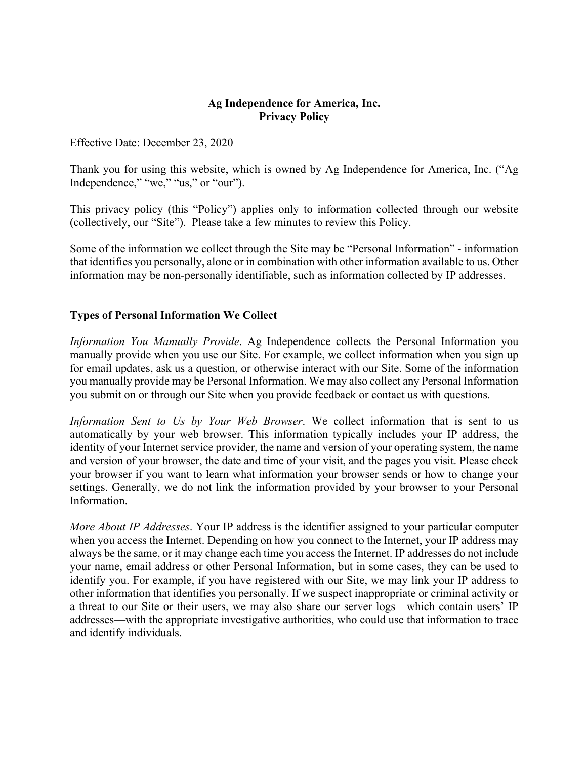#### **Ag Independence for America, Inc. Privacy Policy**

Effective Date: December 23, 2020

Thank you for using this website, which is owned by Ag Independence for America, Inc. ("Ag Independence," "we," "us," or "our").

This privacy policy (this "Policy") applies only to information collected through our website (collectively, our "Site"). Please take a few minutes to review this Policy.

Some of the information we collect through the Site may be "Personal Information" - information that identifies you personally, alone or in combination with other information available to us. Other information may be non-personally identifiable, such as information collected by IP addresses.

### **Types of Personal Information We Collect**

*Information You Manually Provide*. Ag Independence collects the Personal Information you manually provide when you use our Site. For example, we collect information when you sign up for email updates, ask us a question, or otherwise interact with our Site. Some of the information you manually provide may be Personal Information. We may also collect any Personal Information you submit on or through our Site when you provide feedback or contact us with questions.

*Information Sent to Us by Your Web Browser*. We collect information that is sent to us automatically by your web browser. This information typically includes your IP address, the identity of your Internet service provider, the name and version of your operating system, the name and version of your browser, the date and time of your visit, and the pages you visit. Please check your browser if you want to learn what information your browser sends or how to change your settings. Generally, we do not link the information provided by your browser to your Personal Information.

*More About IP Addresses*. Your IP address is the identifier assigned to your particular computer when you access the Internet. Depending on how you connect to the Internet, your IP address may always be the same, or it may change each time you access the Internet. IP addresses do not include your name, email address or other Personal Information, but in some cases, they can be used to identify you. For example, if you have registered with our Site, we may link your IP address to other information that identifies you personally. If we suspect inappropriate or criminal activity or a threat to our Site or their users, we may also share our server logs—which contain users' IP addresses—with the appropriate investigative authorities, who could use that information to trace and identify individuals.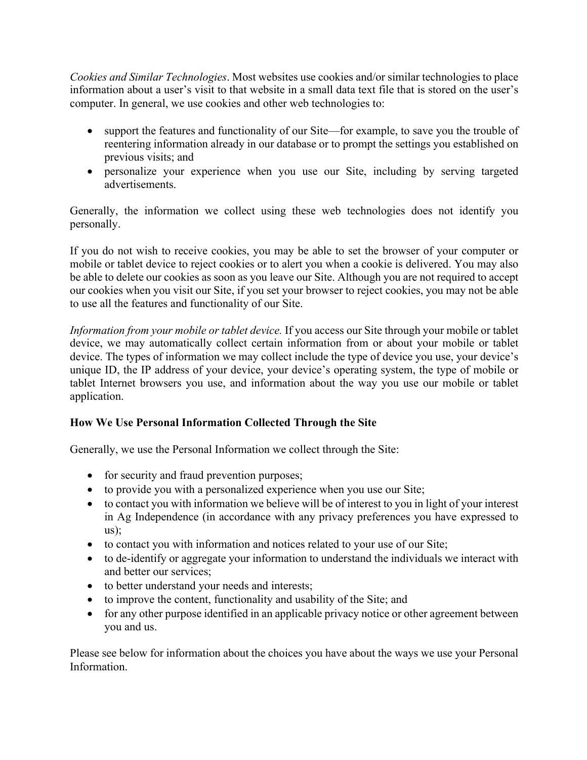*Cookies and Similar Technologies*. Most websites use cookies and/or similar technologies to place information about a user's visit to that website in a small data text file that is stored on the user's computer. In general, we use cookies and other web technologies to:

- support the features and functionality of our Site—for example, to save you the trouble of reentering information already in our database or to prompt the settings you established on previous visits; and
- personalize your experience when you use our Site, including by serving targeted advertisements.

Generally, the information we collect using these web technologies does not identify you personally.

If you do not wish to receive cookies, you may be able to set the browser of your computer or mobile or tablet device to reject cookies or to alert you when a cookie is delivered. You may also be able to delete our cookies as soon as you leave our Site. Although you are not required to accept our cookies when you visit our Site, if you set your browser to reject cookies, you may not be able to use all the features and functionality of our Site.

*Information from your mobile or tablet device.* If you access our Site through your mobile or tablet device, we may automatically collect certain information from or about your mobile or tablet device. The types of information we may collect include the type of device you use, your device's unique ID, the IP address of your device, your device's operating system, the type of mobile or tablet Internet browsers you use, and information about the way you use our mobile or tablet application.

# **How We Use Personal Information Collected Through the Site**

Generally, we use the Personal Information we collect through the Site:

- for security and fraud prevention purposes;
- to provide you with a personalized experience when you use our Site;
- to contact you with information we believe will be of interest to you in light of your interest in Ag Independence (in accordance with any privacy preferences you have expressed to  $\text{us}$ :
- to contact you with information and notices related to your use of our Site;
- to de-identify or aggregate your information to understand the individuals we interact with and better our services;
- to better understand your needs and interests;
- to improve the content, functionality and usability of the Site; and
- for any other purpose identified in an applicable privacy notice or other agreement between you and us.

Please see below for information about the choices you have about the ways we use your Personal Information.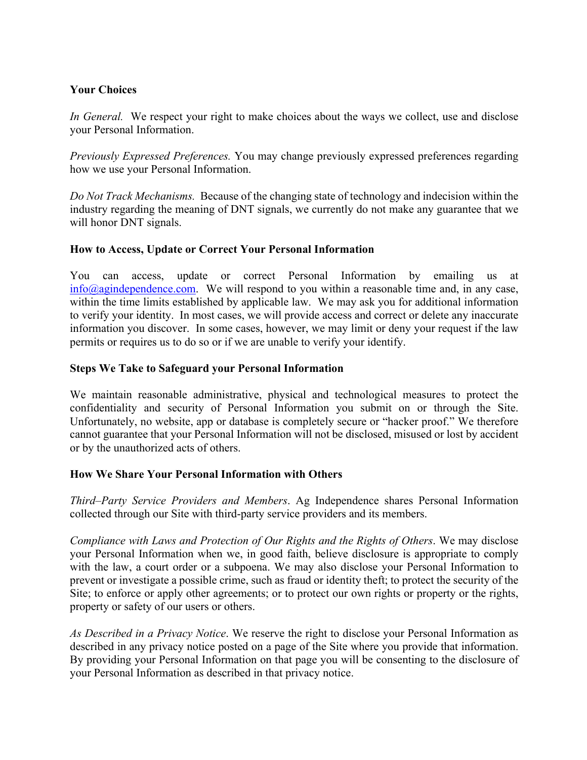# **Your Choices**

*In General.* We respect your right to make choices about the ways we collect, use and disclose your Personal Information.

*Previously Expressed Preferences.* You may change previously expressed preferences regarding how we use your Personal Information.

*Do Not Track Mechanisms.* Because of the changing state of technology and indecision within the industry regarding the meaning of DNT signals, we currently do not make any guarantee that we will honor DNT signals.

### **How to Access, Update or Correct Your Personal Information**

You can access, update or correct Personal Information by emailing us at  $\frac{\sin(10)}{2}$  info@agindependence.com. We will respond to you within a reasonable time and, in any case, within the time limits established by applicable law. We may ask you for additional information to verify your identity. In most cases, we will provide access and correct or delete any inaccurate information you discover. In some cases, however, we may limit or deny your request if the law permits or requires us to do so or if we are unable to verify your identify.

### **Steps We Take to Safeguard your Personal Information**

We maintain reasonable administrative, physical and technological measures to protect the confidentiality and security of Personal Information you submit on or through the Site. Unfortunately, no website, app or database is completely secure or "hacker proof." We therefore cannot guarantee that your Personal Information will not be disclosed, misused or lost by accident or by the unauthorized acts of others.

#### **How We Share Your Personal Information with Others**

*Third–Party Service Providers and Members*. Ag Independence shares Personal Information collected through our Site with third-party service providers and its members.

*Compliance with Laws and Protection of Our Rights and the Rights of Others*. We may disclose your Personal Information when we, in good faith, believe disclosure is appropriate to comply with the law, a court order or a subpoena. We may also disclose your Personal Information to prevent or investigate a possible crime, such as fraud or identity theft; to protect the security of the Site; to enforce or apply other agreements; or to protect our own rights or property or the rights, property or safety of our users or others.

*As Described in a Privacy Notice*. We reserve the right to disclose your Personal Information as described in any privacy notice posted on a page of the Site where you provide that information. By providing your Personal Information on that page you will be consenting to the disclosure of your Personal Information as described in that privacy notice.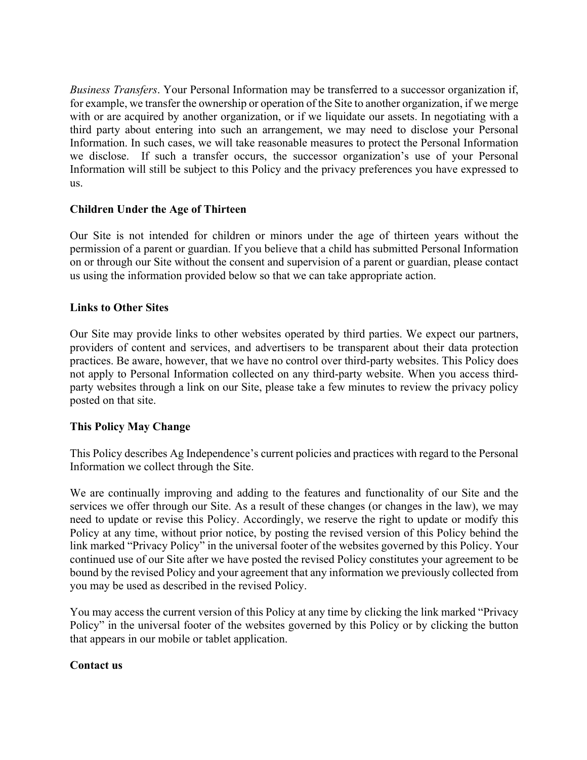*Business Transfers*. Your Personal Information may be transferred to a successor organization if, for example, we transfer the ownership or operation of the Site to another organization, if we merge with or are acquired by another organization, or if we liquidate our assets. In negotiating with a third party about entering into such an arrangement, we may need to disclose your Personal Information. In such cases, we will take reasonable measures to protect the Personal Information we disclose. If such a transfer occurs, the successor organization's use of your Personal Information will still be subject to this Policy and the privacy preferences you have expressed to us.

# **Children Under the Age of Thirteen**

Our Site is not intended for children or minors under the age of thirteen years without the permission of a parent or guardian. If you believe that a child has submitted Personal Information on or through our Site without the consent and supervision of a parent or guardian, please contact us using the information provided below so that we can take appropriate action.

### **Links to Other Sites**

Our Site may provide links to other websites operated by third parties. We expect our partners, providers of content and services, and advertisers to be transparent about their data protection practices. Be aware, however, that we have no control over third-party websites. This Policy does not apply to Personal Information collected on any third-party website. When you access thirdparty websites through a link on our Site, please take a few minutes to review the privacy policy posted on that site.

# **This Policy May Change**

This Policy describes Ag Independence's current policies and practices with regard to the Personal Information we collect through the Site.

We are continually improving and adding to the features and functionality of our Site and the services we offer through our Site. As a result of these changes (or changes in the law), we may need to update or revise this Policy. Accordingly, we reserve the right to update or modify this Policy at any time, without prior notice, by posting the revised version of this Policy behind the link marked "Privacy Policy" in the universal footer of the websites governed by this Policy. Your continued use of our Site after we have posted the revised Policy constitutes your agreement to be bound by the revised Policy and your agreement that any information we previously collected from you may be used as described in the revised Policy.

You may access the current version of this Policy at any time by clicking the link marked "Privacy Policy" in the universal footer of the websites governed by this Policy or by clicking the button that appears in our mobile or tablet application.

# **Contact us**